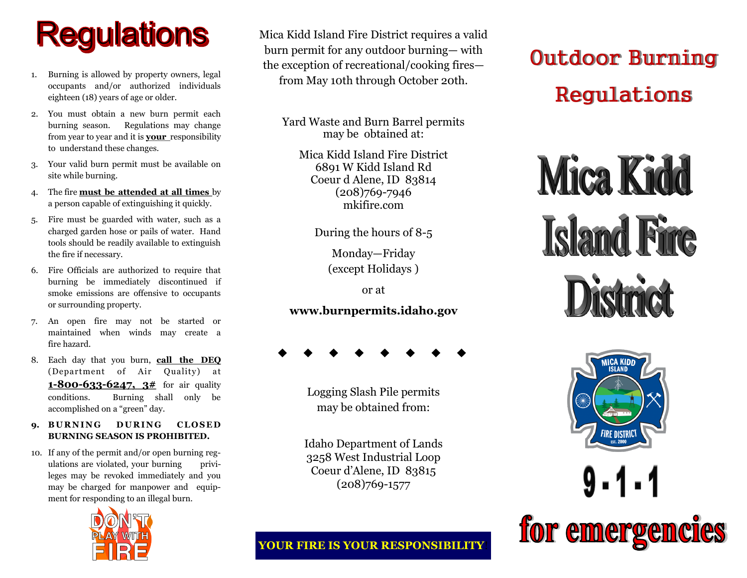# **Regulations**

- 1. Burning is allowed by property owners, legal occupants and/or authorized individuals eighteen (18) years of age or older.
- 2. You must obtain a new burn permit each burning season. Regulations may change from year to year and it is **your** responsibility to understand these changes.
- 3. Your valid burn permit must be available on site while burning.
- 4. The fire **must be attended at all times** by a person capable of extinguishing it quickly.
- Fire must be guarded with water, such as a charged garden hose or pails of water. Hand tools should be readily available to extinguish the fire if necessary.
- 6. Fire Officials are authorized to require that burning be immediately discontinued if smoke emissions are offensive to occupants or surrounding property.
- 7. An open fire may not be started or maintained when winds may create a fire hazard.
- 8. Each day that you burn, **call the DEQ**  (Department of Air Quality) at **1-800-633-6247, 3#** for air quality conditions. Burning shall only be accomplished on a "green" day.
- 9. **BURNING** DURING CLOSED **BURNING SEASON IS PROHIBITED.**
- 10. If any of the permit and/or open burning regulations are violated, your burning privileges may be revoked immediately and you may be charged for manpower and equipment for responding to an illegal burn.



Mica Kidd Island Fire District requires a valid burn permit for any outdoor burning— with the exception of recreational/cooking fires from May 10th through October 20th.

Yard Waste and Burn Barrel permits may be obtained at:

Mica Kidd Island Fire District 6891 W Kidd Island Rd Coeur d Alene, ID 83814 (208)769-7946 mkifire.com

During the hours of 8-5

Monday—Friday (except Holidays )

or at

### **www.burnpermits.idaho.gov**

Logging Slash Pile permits may be obtained from:

Idaho Department of Lands 3258 West Industrial Loop Coeur d'Alene, ID 83815 (208)769-1577

### **YOUR FIRE IS YOUR RESPONSIBILITY**!

## Outdoor Burning Regulations